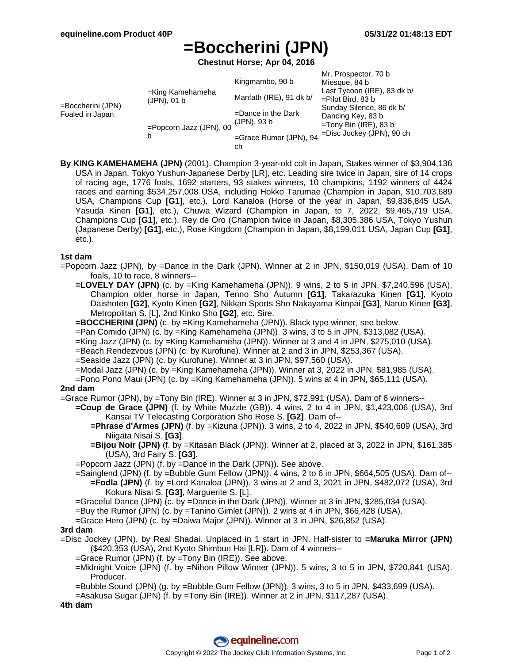# **=Boccherini (JPN)**

**Chestnut Horse; Apr 04, 2016**

| =Boccherini (JPN)<br>Foaled in Japan | =King Kamehameha<br>(JPN), 01 b | Kingmambo, 90 b<br>Manfath (IRE), 91 dk b/ | Mr. Prospector, 70 b<br>Miesque, 84 b<br>Last Tycoon (IRE), 83 dk b/<br>$=$ Pilot Bird, 83 b<br>Sunday Silence, 86 dk b/<br>Dancing Key, 83 b<br>$=$ Tony Bin (IRE), 83 b<br>=Disc Jockey (JPN), 90 ch |
|--------------------------------------|---------------------------------|--------------------------------------------|--------------------------------------------------------------------------------------------------------------------------------------------------------------------------------------------------------|
|                                      | =Popcorn Jazz (JPN), 00         | $=$ Dance in the Dark<br>(JPN), 93 b       |                                                                                                                                                                                                        |
|                                      | b                               | =Grace Rumor (JPN), 94<br>ch               |                                                                                                                                                                                                        |

**By KING KAMEHAMEHA (JPN)** (2001). Champion 3-year-old colt in Japan, Stakes winner of \$3,904,136 USA in Japan, Tokyo Yushun-Japanese Derby [LR], etc. Leading sire twice in Japan, sire of 14 crops of racing age, 1776 foals, 1692 starters, 93 stakes winners, 10 champions, 1192 winners of 4424 races and earning \$534,257,008 USA, including Hokko Tarumae (Champion in Japan, \$10,703,689 USA, Champions Cup **[G1]**, etc.), Lord Kanaloa (Horse of the year in Japan, \$9,836,845 USA, Yasuda Kinen **[G1]**, etc.), Chuwa Wizard (Champion in Japan, to 7, 2022, \$9,465,719 USA, Champions Cup **[G1]**, etc.), Rey de Oro (Champion twice in Japan, \$8,305,386 USA, Tokyo Yushun (Japanese Derby) **[G1]**, etc.), Rose Kingdom (Champion in Japan, \$8,199,011 USA, Japan Cup **[G1]**, etc.).

### **1st dam**

=Popcorn Jazz (JPN), by =Dance in the Dark (JPN). Winner at 2 in JPN, \$150,019 (USA). Dam of 10 foals, 10 to race, 8 winners--

- **=LOVELY DAY (JPN)** (c. by =King Kamehameha (JPN)). 9 wins, 2 to 5 in JPN, \$7,240,596 (USA), Champion older horse in Japan, Tenno Sho Autumn **[G1]**, Takarazuka Kinen **[G1]**, Kyoto Daishoten **[G2]**, Kyoto Kinen **[G2]**, Nikkan Sports Sho Nakayama Kimpai **[G3]**, Naruo Kinen **[G3]**, Metropolitan S. [L], 2nd Kinko Sho **[G2]**, etc. Sire.
- **=BOCCHERINI (JPN)** (c. by =King Kamehameha (JPN)). Black type winner, see below.
- =Pan Comido (JPN) (c. by =King Kamehameha (JPN)). 3 wins, 3 to 5 in JPN, \$313,082 (USA).
- =King Jazz (JPN) (c. by =King Kamehameha (JPN)). Winner at 3 and 4 in JPN, \$275,010 (USA).
- =Beach Rendezvous (JPN) (c. by Kurofune). Winner at 2 and 3 in JPN, \$253,367 (USA).
- =Seaside Jazz (JPN) (c. by Kurofune). Winner at 3 in JPN, \$97,560 (USA).
- =Modal Jazz (JPN) (c. by =King Kamehameha (JPN)). Winner at 3, 2022 in JPN, \$81,985 (USA).
- =Pono Pono Maui (JPN) (c. by =King Kamehameha (JPN)). 5 wins at 4 in JPN, \$65,111 (USA).

### **2nd dam**

=Grace Rumor (JPN), by =Tony Bin (IRE). Winner at 3 in JPN, \$72,991 (USA). Dam of 6 winners--

- **=Coup de Grace (JPN)** (f. by White Muzzle (GB)). 4 wins, 2 to 4 in JPN, \$1,423,006 (USA), 3rd Kansai TV Telecasting Corporation Sho Rose S. **[G2]**. Dam of--
	- **=Phrase d'Armes (JPN)** (f. by =Kizuna (JPN)). 3 wins, 2 to 4, 2022 in JPN, \$540,609 (USA), 3rd Niigata Nisai S. **[G3]**.
	- **=Bijou Noir (JPN)** (f. by =Kitasan Black (JPN)). Winner at 2, placed at 3, 2022 in JPN, \$161,385 (USA), 3rd Fairy S. **[G3]**.
- =Popcorn Jazz (JPN) (f. by =Dance in the Dark (JPN)). See above.
- =Sainglend (JPN) (f. by =Bubble Gum Fellow (JPN)). 4 wins, 2 to 6 in JPN, \$664,505 (USA). Dam of-- **=Fodla (JPN)** (f. by =Lord Kanaloa (JPN)). 3 wins at 2 and 3, 2021 in JPN, \$482,072 (USA), 3rd Kokura Nisai S. **[G3]**, Marguerite S. [L].

=Graceful Dance (JPN) (c. by =Dance in the Dark (JPN)). Winner at 3 in JPN, \$285,034 (USA).

=Buy the Rumor (JPN) (c. by =Tanino Gimlet (JPN)). 2 wins at 4 in JPN, \$66,428 (USA).

=Grace Hero (JPN) (c. by =Daiwa Major (JPN)). Winner at 3 in JPN, \$26,852 (USA).

#### **3rd dam**

=Disc Jockey (JPN), by Real Shadai. Unplaced in 1 start in JPN. Half-sister to **=Maruka Mirror (JPN)** (\$420,353 (USA), 2nd Kyoto Shimbun Hai [LR]). Dam of 4 winners--

- =Grace Rumor (JPN) (f. by =Tony Bin (IRE)). See above.
- =Midnight Voice (JPN) (f. by =Nihon Pillow Winner (JPN)). 5 wins, 3 to 5 in JPN, \$720,841 (USA). Producer.
- =Bubble Sound (JPN) (g. by =Bubble Gum Fellow (JPN)). 3 wins, 3 to 5 in JPN, \$433,699 (USA).
- =Asakusa Sugar (JPN) (f. by =Tony Bin (IRE)). Winner at 2 in JPN, \$117,287 (USA).

**4th dam**